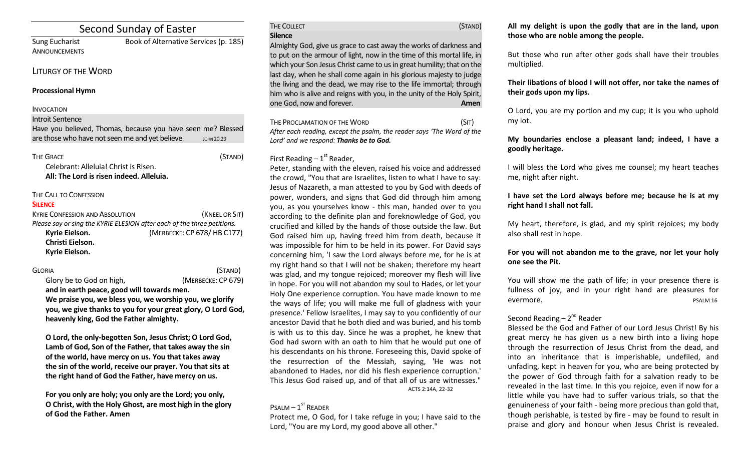# Second Sunday of Easter

ANNOUNCEMENTS

Sung Eucharist Book of Alternative Services (p. 185)

## LITURGY OF THE WORD

### **Processional Hymn**

## INVOCATION

Introit Sentence

Have you believed, Thomas, because you have seen me? Blessed are those who have not seen me and yet believe. **JOHN 20.29** 

| THE GRACE                                | (STAND) |
|------------------------------------------|---------|
| Celebrant: Alleluia! Christ is Risen.    |         |
| All: The Lord is risen indeed. Alleluia. |         |

## THE CALL TO CONFESSION

### **SILENCE**

| <b>KYRIE CONFESSION AND ABSOLUTION</b>                                  | (KNEEL OR SIT)             |
|-------------------------------------------------------------------------|----------------------------|
| Please say or sing the KYRIE ELESION after each of the three petitions. |                            |
| Kyrie Eielson.                                                          | (MERBECKE: CP 678/HB C177) |
| Christi Eielson.                                                        |                            |
| Kyrie Eielson.                                                          |                            |

GLORIA (STAND) Glory be to God on high,(MERBECKE: CP 679) **and in earth peace, good will towards men.** 

**We praise you, we bless you, we worship you, we glorify you, we give thanks to you for your great glory, O Lord God, heavenly king, God the Father almighty.** 

**O Lord, the only-begotten Son, Jesus Christ; O Lord God, Lamb of God, Son of the Father, that takes away the sin of the world, have mercy on us. You that takes away the sin of the world, receive our prayer. You that sits at the right hand of God the Father, have mercy on us.** 

**For you only are holy; you only are the Lord; you only, O Christ, with the Holy Ghost, are most high in the glory of God the Father. Amen**

#### THE COLLECT **THE COLLECT COLLECT COLLECT COLLECT COLLECT COLLECT COLLECT COLLECT COLLECT COLLECT Silence**

Almighty God, give us grace to cast away the works of darkness and to put on the armour of light, now in the time of this mortal life, in which your Son Jesus Christ came to us in great humility; that on the last day, when he shall come again in his glorious majesty to judge the living and the dead, we may rise to the life immortal; through him who is alive and reigns with you, in the unity of the Holy Spirit, one God, now and forever. **Amen**

| THE PROCLAMATION OF THE WORD                                           | (SIT) |
|------------------------------------------------------------------------|-------|
| After each reading, except the psalm, the reader says 'The Word of the |       |
| Lord' and we respond: Thanks be to God.                                |       |

## First Reading  $-1<sup>st</sup>$  Reader,

Peter, standing with the eleven, raised his voice and addressed the crowd, "You that are Israelites, listen to what I have to say: Jesus of Nazareth, a man attested to you by God with deeds of power, wonders, and signs that God did through him among you, as you yourselves know - this man, handed over to you according to the definite plan and foreknowledge of God, you crucified and killed by the hands of those outside the law. But God raised him up, having freed him from death, because it was impossible for him to be held in its power. For David says concerning him, 'I saw the Lord always before me, for he is at my right hand so that I will not be shaken; therefore my heart was glad, and my tongue rejoiced; moreover my flesh will live in hope. For you will not abandon my soul to Hades, or let your Holy One experience corruption. You have made known to me the ways of life; you will make me full of gladness with your presence.' Fellow Israelites, I may say to you confidently of our ancestor David that he both died and was buried, and his tomb is with us to this day. Since he was a prophet, he knew that God had sworn with an oath to him that he would put one of his descendants on his throne. Foreseeing this, David spoke of the resurrection of the Messiah, saying, 'He was not abandoned to Hades, nor did his flesh experience corruption.' This Jesus God raised up, and of that all of us are witnesses." ACTS 2:14A, 22-32

## $P$ SALM  $-1$ <sup>ST</sup> READER

Protect me, O God, for I take refuge in you; I have said to the Lord, "You are my Lord, my good above all other."

## **All my delight is upon the godly that are in the land, upon those who are noble among the people.**

But those who run after other gods shall have their troubles multiplied.

## **Their libations of blood I will not offer, nor take the names of their gods upon my lips.**

O Lord, you are my portion and my cup; it is you who uphold my lot.

## **My boundaries enclose a pleasant land; indeed, I have a goodly heritage.**

I will bless the Lord who gives me counsel; my heart teaches me, night after night.

## **I have set the Lord always before me; because he is at my right hand I shall not fall.**

My heart, therefore, is glad, and my spirit rejoices; my body also shall rest in hope.

## **For you will not abandon me to the grave, nor let your holy one see the Pit.**

You will show me the path of life; in your presence there is fullness of joy, and in your right hand are pleasures for evermore. **PSALM 16** 

## Second Reading – 2<sup>nd</sup> Reader

Blessed be the God and Father of our Lord Jesus Christ! By his great mercy he has given us a new birth into a living hope through the resurrection of Jesus Christ from the dead, and into an inheritance that is imperishable, undefiled, and unfading, kept in heaven for you, who are being protected by the power of God through faith for a salvation ready to be revealed in the last time. In this you rejoice, even if now for a little while you have had to suffer various trials, so that the genuineness of your faith - being more precious than gold that, though perishable, is tested by fire - may be found to result in praise and glory and honour when Jesus Christ is revealed.